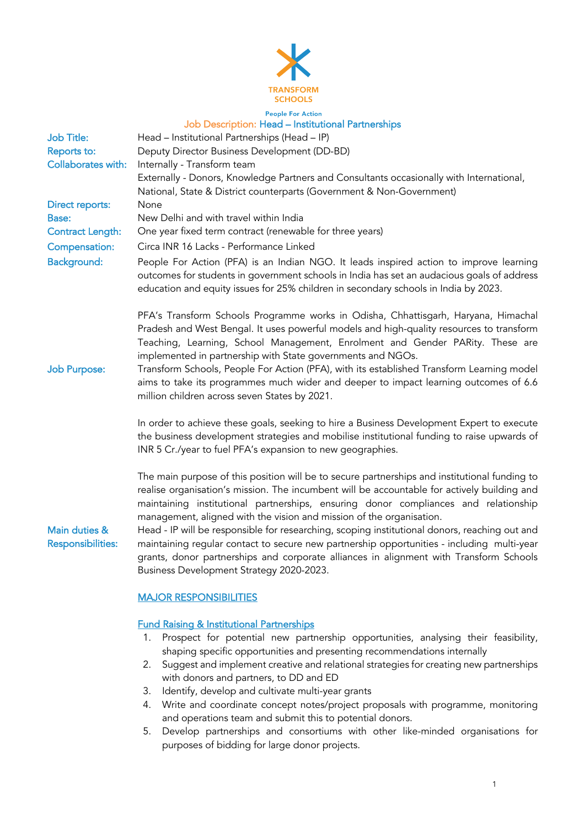

## Job Description: Head – Institutional Partnerships

| <b>Job Title:</b><br>Reports to:<br><b>Collaborates with:</b>                                     | Head - Institutional Partnerships (Head - IP)<br>Deputy Director Business Development (DD-BD)<br>Internally - Transform team<br>Externally - Donors, Knowledge Partners and Consultants occasionally with International,                                                                                                                                                                                                                                                                                                                                                                                                                                                                         |
|---------------------------------------------------------------------------------------------------|--------------------------------------------------------------------------------------------------------------------------------------------------------------------------------------------------------------------------------------------------------------------------------------------------------------------------------------------------------------------------------------------------------------------------------------------------------------------------------------------------------------------------------------------------------------------------------------------------------------------------------------------------------------------------------------------------|
| Direct reports:<br><b>Base:</b><br><b>Contract Length:</b><br>Compensation:<br><b>Background:</b> | National, State & District counterparts (Government & Non-Government)<br>None<br>New Delhi and with travel within India<br>One year fixed term contract (renewable for three years)<br>Circa INR 16 Lacks - Performance Linked<br>People For Action (PFA) is an Indian NGO. It leads inspired action to improve learning<br>outcomes for students in government schools in India has set an audacious goals of address<br>education and equity issues for 25% children in secondary schools in India by 2023.                                                                                                                                                                                    |
| <b>Job Purpose:</b>                                                                               | PFA's Transform Schools Programme works in Odisha, Chhattisgarh, Haryana, Himachal<br>Pradesh and West Bengal. It uses powerful models and high-quality resources to transform<br>Teaching, Learning, School Management, Enrolment and Gender PARity. These are<br>implemented in partnership with State governments and NGOs.<br>Transform Schools, People For Action (PFA), with its established Transform Learning model<br>aims to take its programmes much wider and deeper to impact learning outcomes of 6.6<br>million children across seven States by 2021.                                                                                                                             |
|                                                                                                   | In order to achieve these goals, seeking to hire a Business Development Expert to execute<br>the business development strategies and mobilise institutional funding to raise upwards of<br>INR 5 Cr./year to fuel PFA's expansion to new geographies.                                                                                                                                                                                                                                                                                                                                                                                                                                            |
| Main duties &<br><b>Responsibilities:</b>                                                         | The main purpose of this position will be to secure partnerships and institutional funding to<br>realise organisation's mission. The incumbent will be accountable for actively building and<br>maintaining institutional partnerships, ensuring donor compliances and relationship<br>management, aligned with the vision and mission of the organisation.<br>Head - IP will be responsible for researching, scoping institutional donors, reaching out and<br>maintaining regular contact to secure new partnership opportunities - including multi-year<br>grants, donor partnerships and corporate alliances in alignment with Transform Schools<br>Business Development Strategy 2020-2023. |
|                                                                                                   | <b>MAJOR RESPONSIBILITIES</b>                                                                                                                                                                                                                                                                                                                                                                                                                                                                                                                                                                                                                                                                    |
|                                                                                                   |                                                                                                                                                                                                                                                                                                                                                                                                                                                                                                                                                                                                                                                                                                  |

# Fund Raising & Institutional Partnerships

- 1. Prospect for potential new partnership opportunities, analysing their feasibility, shaping specific opportunities and presenting recommendations internally
- 2. Suggest and implement creative and relational strategies for creating new partnerships with donors and partners, to DD and ED
- 3. Identify, develop and cultivate multi-year grants
- 4. Write and coordinate concept notes/project proposals with programme, monitoring and operations team and submit this to potential donors.
- 5. Develop partnerships and consortiums with other like-minded organisations for purposes of bidding for large donor projects.